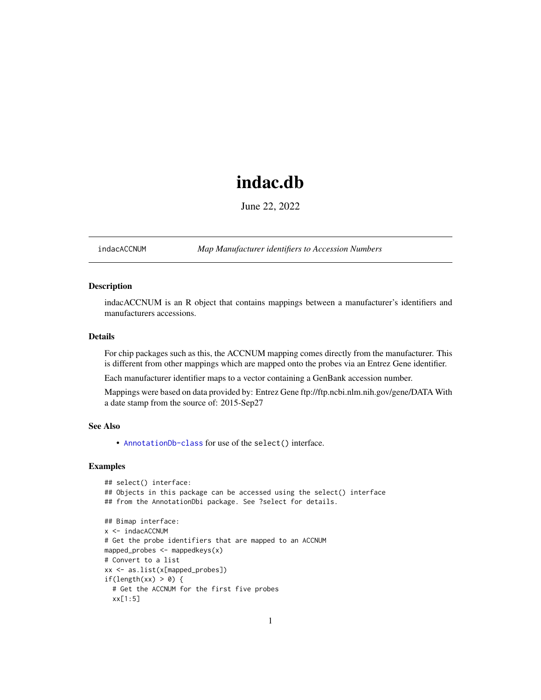# indac.db

June 22, 2022

<span id="page-0-1"></span><span id="page-0-0"></span>indacACCNUM *Map Manufacturer identifiers to Accession Numbers*

# Description

indacACCNUM is an R object that contains mappings between a manufacturer's identifiers and manufacturers accessions.

# Details

For chip packages such as this, the ACCNUM mapping comes directly from the manufacturer. This is different from other mappings which are mapped onto the probes via an Entrez Gene identifier.

Each manufacturer identifier maps to a vector containing a GenBank accession number.

Mappings were based on data provided by: Entrez Gene ftp://ftp.ncbi.nlm.nih.gov/gene/DATA With a date stamp from the source of: 2015-Sep27

#### See Also

• AnnotationDb-class for use of the select() interface.

```
## select() interface:
## Objects in this package can be accessed using the select() interface
## from the AnnotationDbi package. See ?select for details.
## Bimap interface:
x <- indacACCNUM
# Get the probe identifiers that are mapped to an ACCNUM
mapped_probes <- mappedkeys(x)
# Convert to a list
xx <- as.list(x[mapped_probes])
if(length(xx) > 0) {
  # Get the ACCNUM for the first five probes
  xx[1:5]
```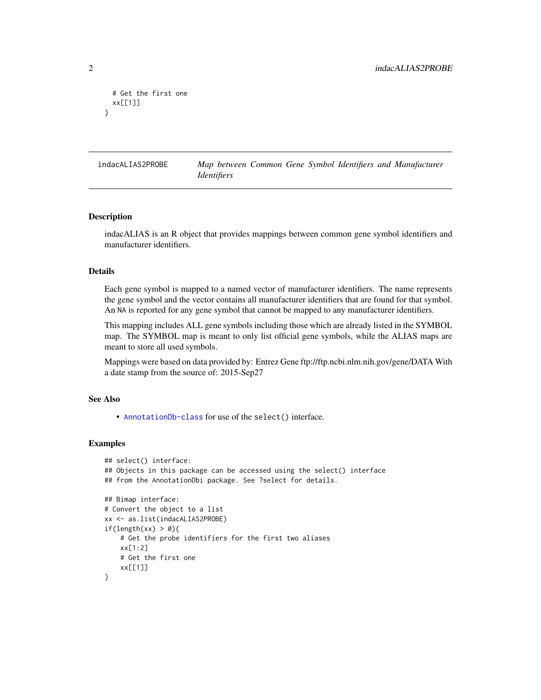```
# Get the first one
 xx[[1]]
}
```
indacALIAS2PROBE *Map between Common Gene Symbol Identifiers and Manufacturer Identifiers*

#### Description

indacALIAS is an R object that provides mappings between common gene symbol identifiers and manufacturer identifiers.

#### Details

Each gene symbol is mapped to a named vector of manufacturer identifiers. The name represents the gene symbol and the vector contains all manufacturer identifiers that are found for that symbol. An NA is reported for any gene symbol that cannot be mapped to any manufacturer identifiers.

This mapping includes ALL gene symbols including those which are already listed in the SYMBOL map. The SYMBOL map is meant to only list official gene symbols, while the ALIAS maps are meant to store all used symbols.

Mappings were based on data provided by: Entrez Gene ftp://ftp.ncbi.nlm.nih.gov/gene/DATA With a date stamp from the source of: 2015-Sep27

# See Also

• [AnnotationDb-class](#page-0-0) for use of the select() interface.

```
## select() interface:
## Objects in this package can be accessed using the select() interface
## from the AnnotationDbi package. See ?select for details.
## Bimap interface:
# Convert the object to a list
xx <- as.list(indacALIAS2PROBE)
if(length(xx) > 0){
    # Get the probe identifiers for the first two aliases
   xx[1:2]
   # Get the first one
   xx[[1]]
}
```
<span id="page-1-0"></span>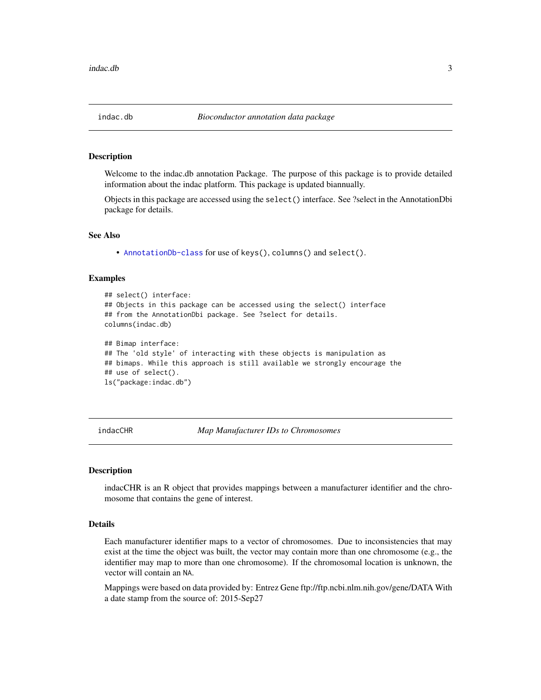#### <span id="page-2-0"></span>Description

Welcome to the indac.db annotation Package. The purpose of this package is to provide detailed information about the indac platform. This package is updated biannually.

Objects in this package are accessed using the select() interface. See ?select in the AnnotationDbi package for details.

#### See Also

• [AnnotationDb-class](#page-0-0) for use of keys(), columns() and select().

#### Examples

```
## select() interface:
## Objects in this package can be accessed using the select() interface
## from the AnnotationDbi package. See ?select for details.
columns(indac.db)
## Bimap interface:
## The 'old style' of interacting with these objects is manipulation as
## bimaps. While this approach is still available we strongly encourage the
## use of select().
ls("package:indac.db")
```
indacCHR *Map Manufacturer IDs to Chromosomes*

#### **Description**

indacCHR is an R object that provides mappings between a manufacturer identifier and the chromosome that contains the gene of interest.

# Details

Each manufacturer identifier maps to a vector of chromosomes. Due to inconsistencies that may exist at the time the object was built, the vector may contain more than one chromosome (e.g., the identifier may map to more than one chromosome). If the chromosomal location is unknown, the vector will contain an NA.

Mappings were based on data provided by: Entrez Gene ftp://ftp.ncbi.nlm.nih.gov/gene/DATA With a date stamp from the source of: 2015-Sep27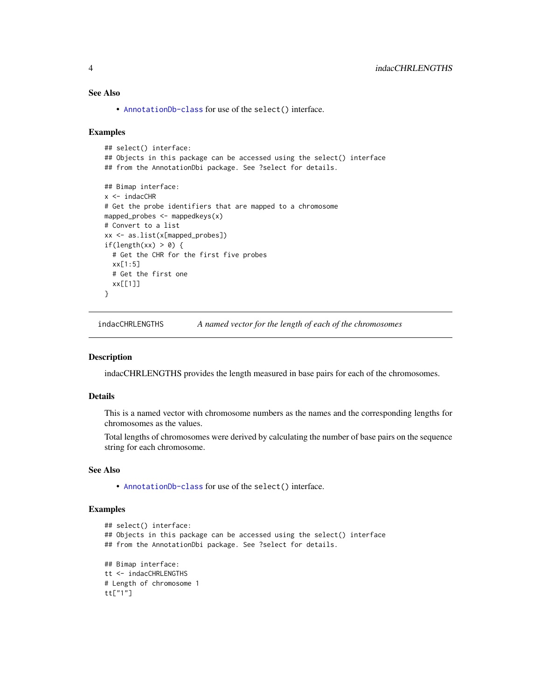# <span id="page-3-0"></span>See Also

• [AnnotationDb-class](#page-0-0) for use of the select() interface.

#### Examples

```
## select() interface:
## Objects in this package can be accessed using the select() interface
## from the AnnotationDbi package. See ?select for details.
## Bimap interface:
x < - indacCHR
# Get the probe identifiers that are mapped to a chromosome
mapped_probes <- mappedkeys(x)
# Convert to a list
xx <- as.list(x[mapped_probes])
if(length(xx) > 0) {
  # Get the CHR for the first five probes
  xx[1:5]
  # Get the first one
  xx[[1]]
}
```
indacCHRLENGTHS *A named vector for the length of each of the chromosomes*

#### Description

indacCHRLENGTHS provides the length measured in base pairs for each of the chromosomes.

#### Details

This is a named vector with chromosome numbers as the names and the corresponding lengths for chromosomes as the values.

Total lengths of chromosomes were derived by calculating the number of base pairs on the sequence string for each chromosome.

# See Also

• [AnnotationDb-class](#page-0-0) for use of the select() interface.

```
## select() interface:
## Objects in this package can be accessed using the select() interface
## from the AnnotationDbi package. See ?select for details.
## Bimap interface:
tt <- indacCHRLENGTHS
# Length of chromosome 1
tt["1"]
```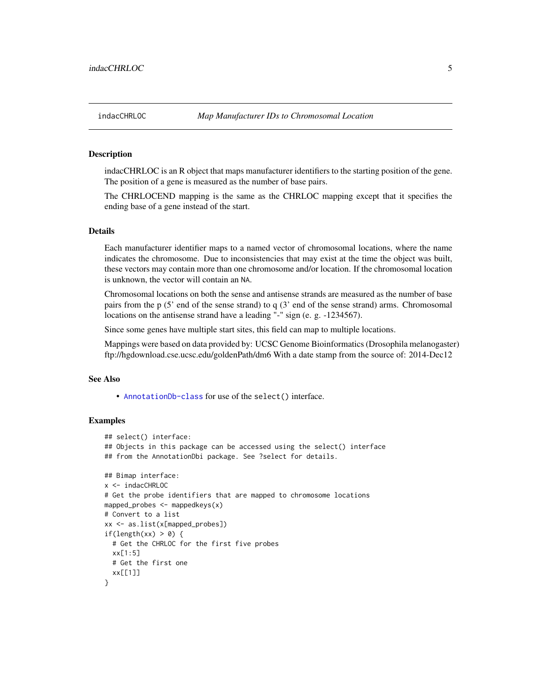#### Description

indacCHRLOC is an R object that maps manufacturer identifiers to the starting position of the gene. The position of a gene is measured as the number of base pairs.

The CHRLOCEND mapping is the same as the CHRLOC mapping except that it specifies the ending base of a gene instead of the start.

#### Details

Each manufacturer identifier maps to a named vector of chromosomal locations, where the name indicates the chromosome. Due to inconsistencies that may exist at the time the object was built, these vectors may contain more than one chromosome and/or location. If the chromosomal location is unknown, the vector will contain an NA.

Chromosomal locations on both the sense and antisense strands are measured as the number of base pairs from the p (5' end of the sense strand) to q (3' end of the sense strand) arms. Chromosomal locations on the antisense strand have a leading "-" sign (e. g. -1234567).

Since some genes have multiple start sites, this field can map to multiple locations.

Mappings were based on data provided by: UCSC Genome Bioinformatics (Drosophila melanogaster) ftp://hgdownload.cse.ucsc.edu/goldenPath/dm6 With a date stamp from the source of: 2014-Dec12

#### See Also

• [AnnotationDb-class](#page-0-0) for use of the select() interface.

```
## select() interface:
## Objects in this package can be accessed using the select() interface
## from the AnnotationDbi package. See ?select for details.
## Bimap interface:
x <- indacCHRLOC
# Get the probe identifiers that are mapped to chromosome locations
mapped_probes \leq mappedkeys(x)
# Convert to a list
xx <- as.list(x[mapped_probes])
if(length(xx) > 0) {
 # Get the CHRLOC for the first five probes
 xx[1:5]
 # Get the first one
 xx[[1]]
}
```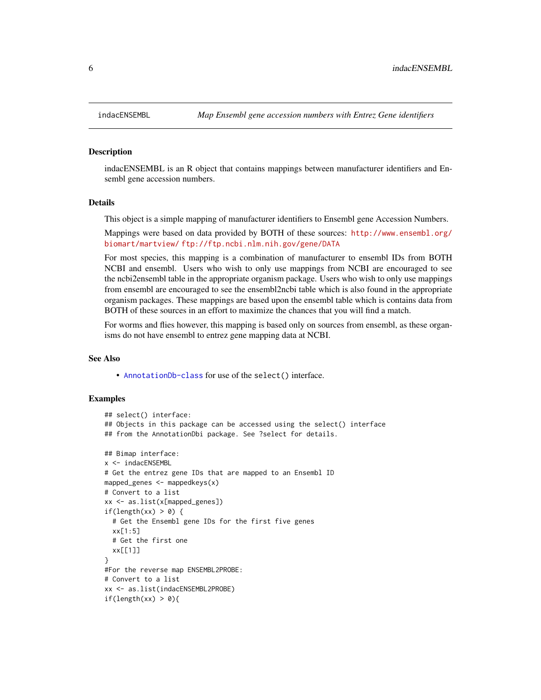#### Description

indacENSEMBL is an R object that contains mappings between manufacturer identifiers and Ensembl gene accession numbers.

#### Details

This object is a simple mapping of manufacturer identifiers to Ensembl gene Accession Numbers.

Mappings were based on data provided by BOTH of these sources: [http://www.ensembl.org/](http://www.ensembl.org/biomart/martview/) [biomart/martview/](http://www.ensembl.org/biomart/martview/) <ftp://ftp.ncbi.nlm.nih.gov/gene/DATA>

For most species, this mapping is a combination of manufacturer to ensembl IDs from BOTH NCBI and ensembl. Users who wish to only use mappings from NCBI are encouraged to see the ncbi2ensembl table in the appropriate organism package. Users who wish to only use mappings from ensembl are encouraged to see the ensembl2ncbi table which is also found in the appropriate organism packages. These mappings are based upon the ensembl table which is contains data from BOTH of these sources in an effort to maximize the chances that you will find a match.

For worms and flies however, this mapping is based only on sources from ensembl, as these organisms do not have ensembl to entrez gene mapping data at NCBI.

#### See Also

• [AnnotationDb-class](#page-0-0) for use of the select() interface.

```
## select() interface:
## Objects in this package can be accessed using the select() interface
## from the AnnotationDbi package. See ?select for details.
## Bimap interface:
x <- indacENSEMBL
# Get the entrez gene IDs that are mapped to an Ensembl ID
mapped_genes \leq mappedkeys(x)
# Convert to a list
xx <- as.list(x[mapped_genes])
if(length(xx) > 0) {
 # Get the Ensembl gene IDs for the first five genes
 xx[1:5]
 # Get the first one
 xx[[1]]
}
#For the reverse map ENSEMBL2PROBE:
# Convert to a list
xx <- as.list(indacENSEMBL2PROBE)
if(length(xx) > 0){
```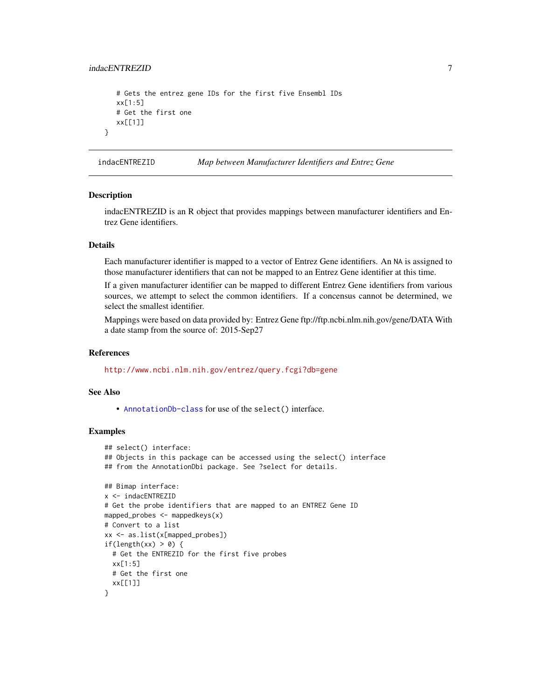#### <span id="page-6-0"></span>indacENTREZID 7

```
# Gets the entrez gene IDs for the first five Ensembl IDs
  xx[1:5]
   # Get the first one
  xx[[1]]
}
```
indacENTREZID *Map between Manufacturer Identifiers and Entrez Gene*

#### **Description**

indacENTREZID is an R object that provides mappings between manufacturer identifiers and Entrez Gene identifiers.

#### Details

Each manufacturer identifier is mapped to a vector of Entrez Gene identifiers. An NA is assigned to those manufacturer identifiers that can not be mapped to an Entrez Gene identifier at this time.

If a given manufacturer identifier can be mapped to different Entrez Gene identifiers from various sources, we attempt to select the common identifiers. If a concensus cannot be determined, we select the smallest identifier.

Mappings were based on data provided by: Entrez Gene ftp://ftp.ncbi.nlm.nih.gov/gene/DATA With a date stamp from the source of: 2015-Sep27

#### References

<http://www.ncbi.nlm.nih.gov/entrez/query.fcgi?db=gene>

#### See Also

• [AnnotationDb-class](#page-0-0) for use of the select() interface.

```
## select() interface:
## Objects in this package can be accessed using the select() interface
## from the AnnotationDbi package. See ?select for details.
## Bimap interface:
x <- indacENTREZID
# Get the probe identifiers that are mapped to an ENTREZ Gene ID
mapped_probes <- mappedkeys(x)
# Convert to a list
xx <- as.list(x[mapped_probes])
if(length(xx) > 0) {
 # Get the ENTREZID for the first five probes
 xx[1:5]
 # Get the first one
 xx[[1]]
}
```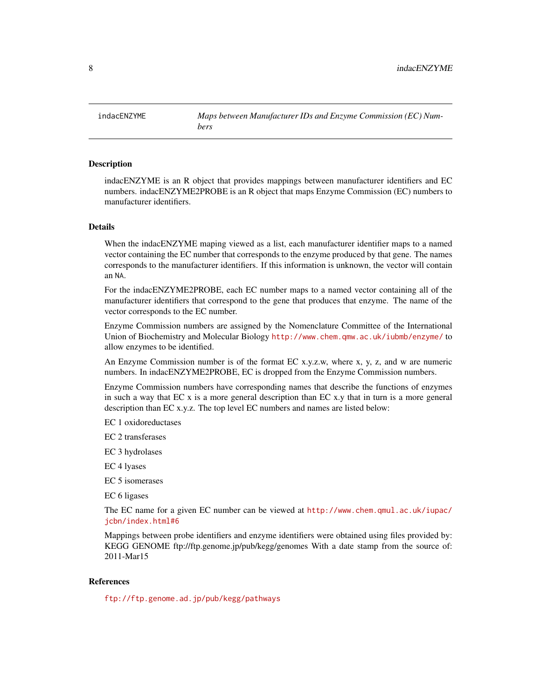<span id="page-7-0"></span>indacENZYME *Maps between Manufacturer IDs and Enzyme Commission (EC) Numbers*

#### Description

indacENZYME is an R object that provides mappings between manufacturer identifiers and EC numbers. indacENZYME2PROBE is an R object that maps Enzyme Commission (EC) numbers to manufacturer identifiers.

#### Details

When the indacENZYME maping viewed as a list, each manufacturer identifier maps to a named vector containing the EC number that corresponds to the enzyme produced by that gene. The names corresponds to the manufacturer identifiers. If this information is unknown, the vector will contain an NA.

For the indacENZYME2PROBE, each EC number maps to a named vector containing all of the manufacturer identifiers that correspond to the gene that produces that enzyme. The name of the vector corresponds to the EC number.

Enzyme Commission numbers are assigned by the Nomenclature Committee of the International Union of Biochemistry and Molecular Biology <http://www.chem.qmw.ac.uk/iubmb/enzyme/> to allow enzymes to be identified.

An Enzyme Commission number is of the format EC x.y.z.w, where x, y, z, and w are numeric numbers. In indacENZYME2PROBE, EC is dropped from the Enzyme Commission numbers.

Enzyme Commission numbers have corresponding names that describe the functions of enzymes in such a way that EC x is a more general description than EC x.y that in turn is a more general description than EC x.y.z. The top level EC numbers and names are listed below:

EC 1 oxidoreductases

EC 2 transferases

EC 3 hydrolases

EC 4 lyases

EC 5 isomerases

EC 6 ligases

The EC name for a given EC number can be viewed at [http://www.chem.qmul.ac.uk/iupac/](http://www.chem.qmul.ac.uk/iupac/jcbn/index.html#6) [jcbn/index.html#6](http://www.chem.qmul.ac.uk/iupac/jcbn/index.html#6)

Mappings between probe identifiers and enzyme identifiers were obtained using files provided by: KEGG GENOME ftp://ftp.genome.jp/pub/kegg/genomes With a date stamp from the source of: 2011-Mar15

#### References

<ftp://ftp.genome.ad.jp/pub/kegg/pathways>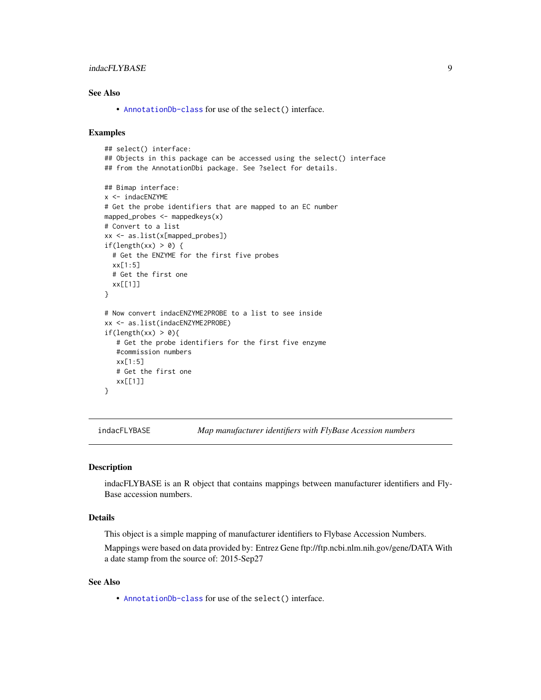# <span id="page-8-0"></span>indacFLYBASE 9

# See Also

• [AnnotationDb-class](#page-0-0) for use of the select() interface.

#### Examples

```
## select() interface:
## Objects in this package can be accessed using the select() interface
## from the AnnotationDbi package. See ?select for details.
## Bimap interface:
x <- indacENZYME
# Get the probe identifiers that are mapped to an EC number
mapped_probes <- mappedkeys(x)
# Convert to a list
xx <- as.list(x[mapped_probes])
if(length(xx) > 0) {
  # Get the ENZYME for the first five probes
  xx[1:5]
  # Get the first one
  xx[[1]]
}
# Now convert indacENZYME2PROBE to a list to see inside
xx <- as.list(indacENZYME2PROBE)
if(length(xx) > 0){
   # Get the probe identifiers for the first five enzyme
   #commission numbers
   xx[1:5]
   # Get the first one
   xx[[1]]
}
```
indacFLYBASE *Map manufacturer identifiers with FlyBase Acession numbers*

# Description

indacFLYBASE is an R object that contains mappings between manufacturer identifiers and Fly-Base accession numbers.

#### Details

This object is a simple mapping of manufacturer identifiers to Flybase Accession Numbers.

Mappings were based on data provided by: Entrez Gene ftp://ftp.ncbi.nlm.nih.gov/gene/DATA With a date stamp from the source of: 2015-Sep27

#### See Also

• [AnnotationDb-class](#page-0-0) for use of the select() interface.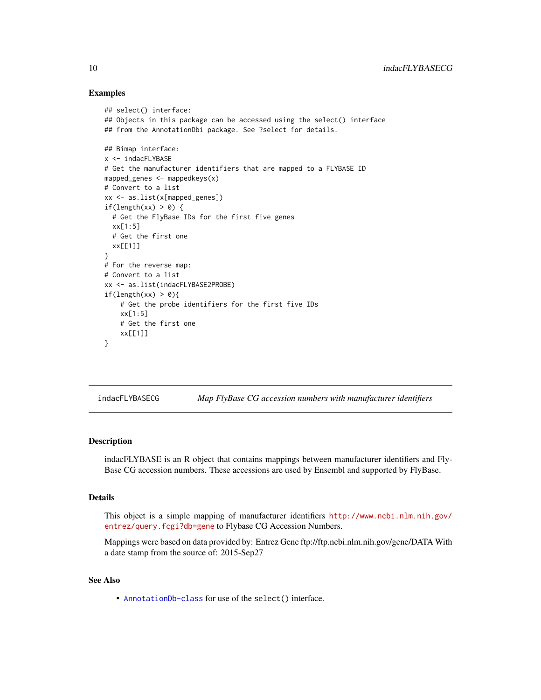#### Examples

```
## select() interface:
## Objects in this package can be accessed using the select() interface
## from the AnnotationDbi package. See ?select for details.
## Bimap interface:
x <- indacFLYBASE
# Get the manufacturer identifiers that are mapped to a FLYBASE ID
mapped_genes <- mappedkeys(x)
# Convert to a list
xx <- as.list(x[mapped_genes])
if(length(xx) > 0) {
  # Get the FlyBase IDs for the first five genes
  xx[1:5]
  # Get the first one
  xx[[1]]
}
# For the reverse map:
# Convert to a list
xx <- as.list(indacFLYBASE2PROBE)
if(length(xx) > 0){
    # Get the probe identifiers for the first five IDs
    xx[1:5]
    # Get the first one
    xx[[1]]
}
```
indacFLYBASECG *Map FlyBase CG accession numbers with manufacturer identifiers*

#### Description

indacFLYBASE is an R object that contains mappings between manufacturer identifiers and Fly-Base CG accession numbers. These accessions are used by Ensembl and supported by FlyBase.

# Details

This object is a simple mapping of manufacturer identifiers [http://www.ncbi.nlm.nih.gov/](http://www.ncbi.nlm.nih.gov/entrez/query.fcgi?db=gene) [entrez/query.fcgi?db=gene](http://www.ncbi.nlm.nih.gov/entrez/query.fcgi?db=gene) to Flybase CG Accession Numbers.

Mappings were based on data provided by: Entrez Gene ftp://ftp.ncbi.nlm.nih.gov/gene/DATA With a date stamp from the source of: 2015-Sep27

# See Also

• [AnnotationDb-class](#page-0-0) for use of the select() interface.

<span id="page-9-0"></span>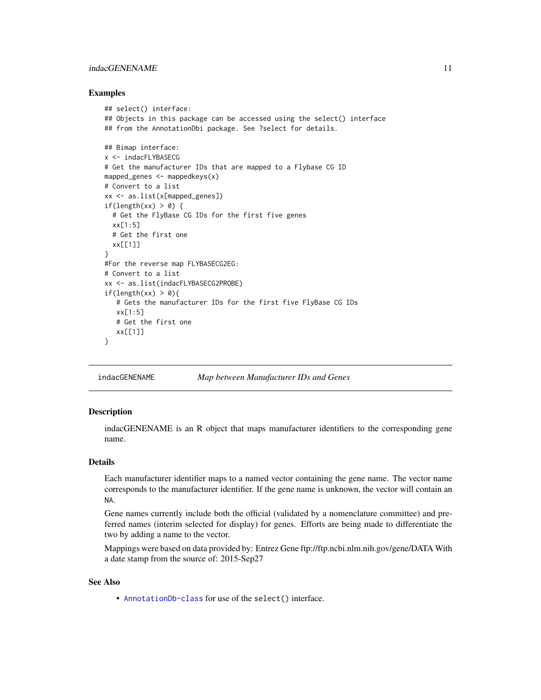# <span id="page-10-0"></span>indacGENENAME 11

#### Examples

```
## select() interface:
## Objects in this package can be accessed using the select() interface
## from the AnnotationDbi package. See ?select for details.
## Bimap interface:
x <- indacFLYBASECG
# Get the manufacturer IDs that are mapped to a Flybase CG ID
mapped_genes \leq mappedkeys(x)
# Convert to a list
xx <- as.list(x[mapped_genes])
if(length(xx) > 0) {
  # Get the FlyBase CG IDs for the first five genes
  xx[1:5]
  # Get the first one
  xx[[1]]
}
#For the reverse map FLYBASECG2EG:
# Convert to a list
xx <- as.list(indacFLYBASECG2PROBE)
if(length(xx) > 0){
   # Gets the manufacturer IDs for the first five FlyBase CG IDs
   xx[1:5]
   # Get the first one
   xx[[1]]
}
```
indacGENENAME *Map between Manufacturer IDs and Genes*

#### Description

indacGENENAME is an R object that maps manufacturer identifiers to the corresponding gene name.

#### Details

Each manufacturer identifier maps to a named vector containing the gene name. The vector name corresponds to the manufacturer identifier. If the gene name is unknown, the vector will contain an NA.

Gene names currently include both the official (validated by a nomenclature committee) and preferred names (interim selected for display) for genes. Efforts are being made to differentiate the two by adding a name to the vector.

Mappings were based on data provided by: Entrez Gene ftp://ftp.ncbi.nlm.nih.gov/gene/DATA With a date stamp from the source of: 2015-Sep27

# See Also

• [AnnotationDb-class](#page-0-0) for use of the select() interface.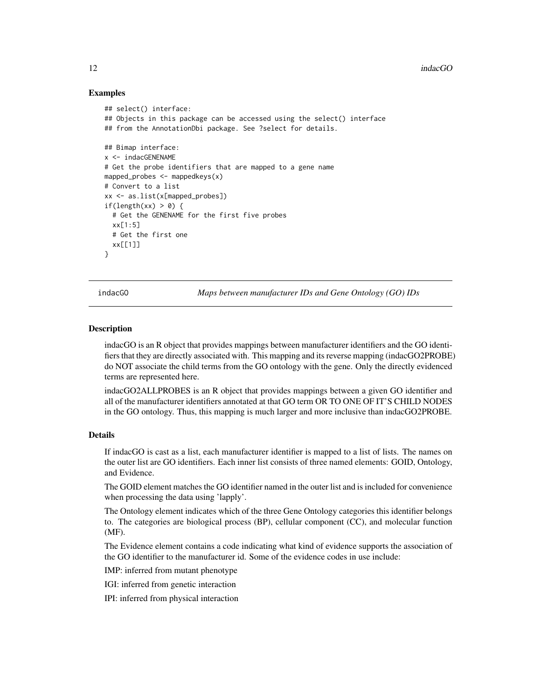#### Examples

```
## select() interface:
## Objects in this package can be accessed using the select() interface
## from the AnnotationDbi package. See ?select for details.
## Bimap interface:
x <- indacGENENAME
# Get the probe identifiers that are mapped to a gene name
mapped_probes <- mappedkeys(x)
# Convert to a list
xx <- as.list(x[mapped_probes])
if(length(xx) > 0) {
  # Get the GENENAME for the first five probes
  xx[1:5]
  # Get the first one
  xx[[1]]
}
```
indacGO *Maps between manufacturer IDs and Gene Ontology (GO) IDs*

#### <span id="page-11-0"></span>**Description**

indacGO is an R object that provides mappings between manufacturer identifiers and the GO identifiers that they are directly associated with. This mapping and its reverse mapping (indacGO2PROBE) do NOT associate the child terms from the GO ontology with the gene. Only the directly evidenced terms are represented here.

indacGO2ALLPROBES is an R object that provides mappings between a given GO identifier and all of the manufacturer identifiers annotated at that GO term OR TO ONE OF IT'S CHILD NODES in the GO ontology. Thus, this mapping is much larger and more inclusive than indacGO2PROBE.

# Details

If indacGO is cast as a list, each manufacturer identifier is mapped to a list of lists. The names on the outer list are GO identifiers. Each inner list consists of three named elements: GOID, Ontology, and Evidence.

The GOID element matches the GO identifier named in the outer list and is included for convenience when processing the data using 'lapply'.

The Ontology element indicates which of the three Gene Ontology categories this identifier belongs to. The categories are biological process (BP), cellular component (CC), and molecular function (MF).

The Evidence element contains a code indicating what kind of evidence supports the association of the GO identifier to the manufacturer id. Some of the evidence codes in use include:

IMP: inferred from mutant phenotype

IGI: inferred from genetic interaction

IPI: inferred from physical interaction

<span id="page-11-1"></span>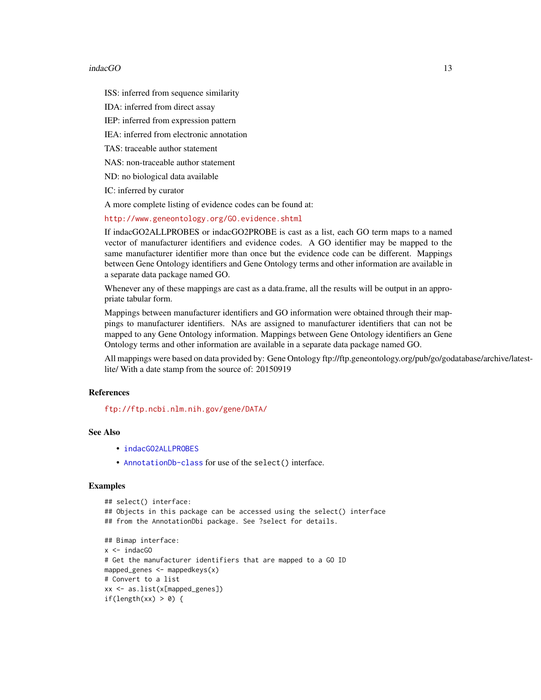#### <span id="page-12-0"></span>indacGO 13

ISS: inferred from sequence similarity

IDA: inferred from direct assay

IEP: inferred from expression pattern

IEA: inferred from electronic annotation

TAS: traceable author statement

NAS: non-traceable author statement

ND: no biological data available

IC: inferred by curator

A more complete listing of evidence codes can be found at:

<http://www.geneontology.org/GO.evidence.shtml>

If indacGO2ALLPROBES or indacGO2PROBE is cast as a list, each GO term maps to a named vector of manufacturer identifiers and evidence codes. A GO identifier may be mapped to the same manufacturer identifier more than once but the evidence code can be different. Mappings between Gene Ontology identifiers and Gene Ontology terms and other information are available in a separate data package named GO.

Whenever any of these mappings are cast as a data.frame, all the results will be output in an appropriate tabular form.

Mappings between manufacturer identifiers and GO information were obtained through their mappings to manufacturer identifiers. NAs are assigned to manufacturer identifiers that can not be mapped to any Gene Ontology information. Mappings between Gene Ontology identifiers an Gene Ontology terms and other information are available in a separate data package named GO.

All mappings were based on data provided by: Gene Ontology ftp://ftp.geneontology.org/pub/go/godatabase/archive/latestlite/ With a date stamp from the source of: 20150919

### References

<ftp://ftp.ncbi.nlm.nih.gov/gene/DATA/>

# See Also

- [indacGO2ALLPROBES](#page-11-0)
- [AnnotationDb-class](#page-0-0) for use of the select() interface.

```
## select() interface:
## Objects in this package can be accessed using the select() interface
## from the AnnotationDbi package. See ?select for details.
## Bimap interface:
x <- indacGO
# Get the manufacturer identifiers that are mapped to a GO ID
mapped_genes <- mappedkeys(x)
# Convert to a list
xx <- as.list(x[mapped_genes])
if(length(xx) > 0) {
```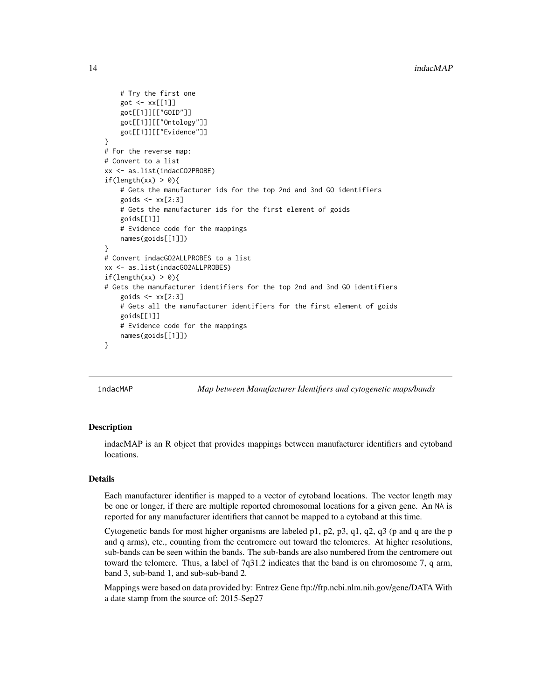```
# Try the first one
    got <- xx[[1]]
    got[[1]][["GOID"]]
    got[[1]][["Ontology"]]
    got[[1]][["Evidence"]]
}
# For the reverse map:
# Convert to a list
xx <- as.list(indacGO2PROBE)
if(length(xx) > 0){
    # Gets the manufacturer ids for the top 2nd and 3nd GO identifiers
    goids \leq xx[2:3]# Gets the manufacturer ids for the first element of goids
    goids[[1]]
    # Evidence code for the mappings
   names(goids[[1]])
}
# Convert indacGO2ALLPROBES to a list
xx <- as.list(indacGO2ALLPROBES)
if(length(xx) > 0){
# Gets the manufacturer identifiers for the top 2nd and 3nd GO identifiers
    goids \leq xx[2:3]# Gets all the manufacturer identifiers for the first element of goids
   goids[[1]]
    # Evidence code for the mappings
   names(goids[[1]])
}
```
indacMAP *Map between Manufacturer Identifiers and cytogenetic maps/bands*

#### Description

indacMAP is an R object that provides mappings between manufacturer identifiers and cytoband locations.

#### Details

Each manufacturer identifier is mapped to a vector of cytoband locations. The vector length may be one or longer, if there are multiple reported chromosomal locations for a given gene. An NA is reported for any manufacturer identifiers that cannot be mapped to a cytoband at this time.

Cytogenetic bands for most higher organisms are labeled p1, p2, p3, q1, q2, q3 (p and q are the p and q arms), etc., counting from the centromere out toward the telomeres. At higher resolutions, sub-bands can be seen within the bands. The sub-bands are also numbered from the centromere out toward the telomere. Thus, a label of 7q31.2 indicates that the band is on chromosome 7, q arm, band 3, sub-band 1, and sub-sub-band 2.

Mappings were based on data provided by: Entrez Gene ftp://ftp.ncbi.nlm.nih.gov/gene/DATA With a date stamp from the source of: 2015-Sep27

<span id="page-13-0"></span>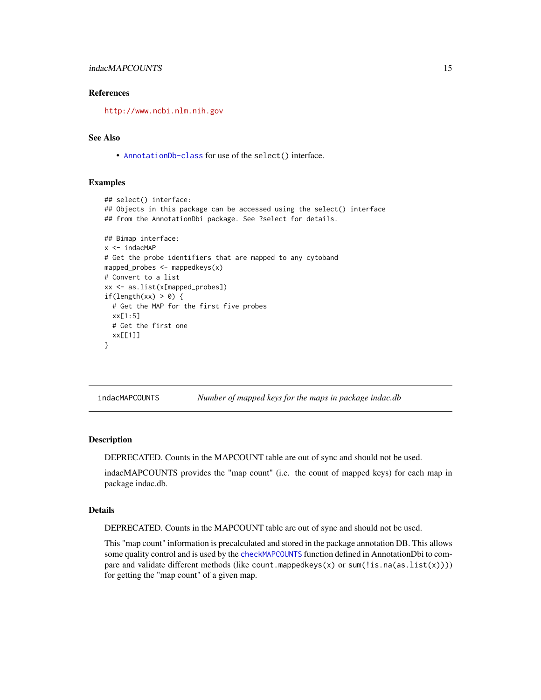# <span id="page-14-0"></span>indacMAPCOUNTS 15

#### References

<http://www.ncbi.nlm.nih.gov>

#### See Also

• [AnnotationDb-class](#page-0-0) for use of the select() interface.

#### Examples

```
## select() interface:
## Objects in this package can be accessed using the select() interface
## from the AnnotationDbi package. See ?select for details.
## Bimap interface:
x < - indacMAP
# Get the probe identifiers that are mapped to any cytoband
mapped_probes <- mappedkeys(x)
# Convert to a list
xx <- as.list(x[mapped_probes])
if(length(xx) > 0) {
  # Get the MAP for the first five probes
  xx[1:5]# Get the first one
  xx[[1]]
}
```
indacMAPCOUNTS *Number of mapped keys for the maps in package indac.db*

#### Description

DEPRECATED. Counts in the MAPCOUNT table are out of sync and should not be used.

indacMAPCOUNTS provides the "map count" (i.e. the count of mapped keys) for each map in package indac.db.

#### Details

DEPRECATED. Counts in the MAPCOUNT table are out of sync and should not be used.

This "map count" information is precalculated and stored in the package annotation DB. This allows some quality control and is used by the [checkMAPCOUNTS](#page-0-0) function defined in AnnotationDbi to compare and validate different methods (like count.mappedkeys(x) or sum(!is.na(as.list(x)))) for getting the "map count" of a given map.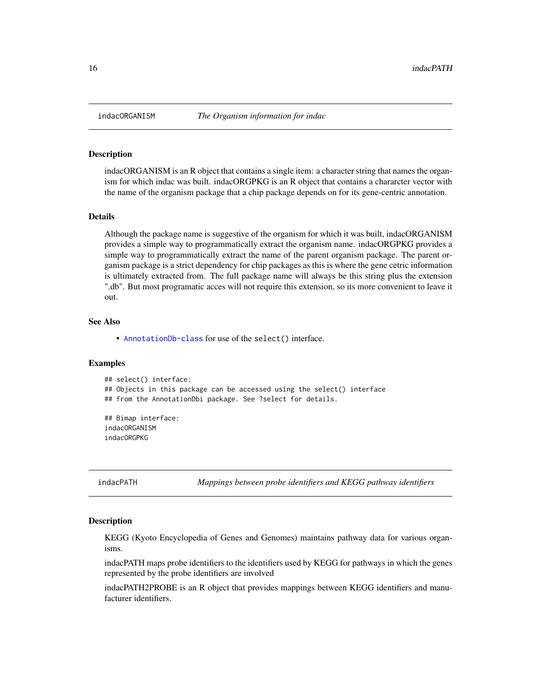#### Description

indacORGANISM is an R object that contains a single item: a character string that names the organism for which indac was built. indacORGPKG is an R object that contains a chararcter vector with the name of the organism package that a chip package depends on for its gene-centric annotation.

#### Details

Although the package name is suggestive of the organism for which it was built, indacORGANISM provides a simple way to programmatically extract the organism name. indacORGPKG provides a simple way to programmatically extract the name of the parent organism package. The parent organism package is a strict dependency for chip packages as this is where the gene cetric information is ultimately extracted from. The full package name will always be this string plus the extension ".db". But most programatic acces will not require this extension, so its more convenient to leave it out.

#### See Also

• [AnnotationDb-class](#page-0-0) for use of the select() interface.

#### Examples

```
## select() interface:
## Objects in this package can be accessed using the select() interface
## from the AnnotationDbi package. See ?select for details.
## Bimap interface:
indacORGANISM
indacORGPKG
```
indacPATH *Mappings between probe identifiers and KEGG pathway identifiers*

#### Description

KEGG (Kyoto Encyclopedia of Genes and Genomes) maintains pathway data for various organisms.

indacPATH maps probe identifiers to the identifiers used by KEGG for pathways in which the genes represented by the probe identifiers are involved

indacPATH2PROBE is an R object that provides mappings between KEGG identifiers and manufacturer identifiers.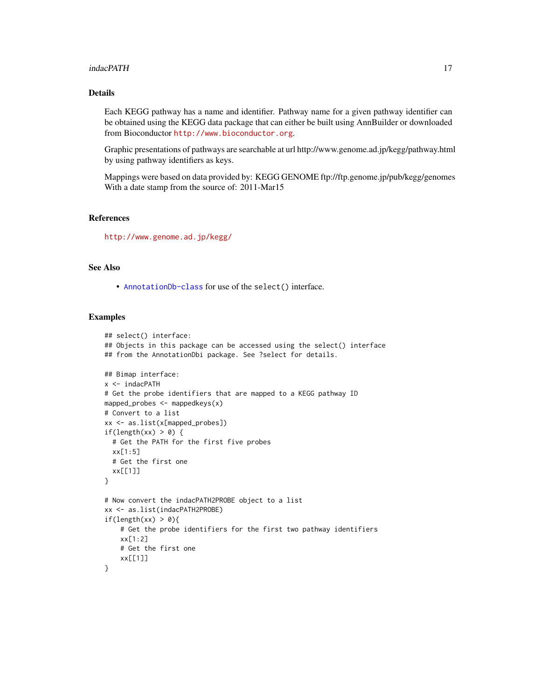#### indacPATH 17

# Details

Each KEGG pathway has a name and identifier. Pathway name for a given pathway identifier can be obtained using the KEGG data package that can either be built using AnnBuilder or downloaded from Bioconductor <http://www.bioconductor.org>.

Graphic presentations of pathways are searchable at url http://www.genome.ad.jp/kegg/pathway.html by using pathway identifiers as keys.

Mappings were based on data provided by: KEGG GENOME ftp://ftp.genome.jp/pub/kegg/genomes With a date stamp from the source of: 2011-Mar15

# References

<http://www.genome.ad.jp/kegg/>

# See Also

• [AnnotationDb-class](#page-0-0) for use of the select() interface.

```
## select() interface:
## Objects in this package can be accessed using the select() interface
## from the AnnotationDbi package. See ?select for details.
## Bimap interface:
x <- indacPATH
# Get the probe identifiers that are mapped to a KEGG pathway ID
mapped_probes <- mappedkeys(x)
# Convert to a list
xx <- as.list(x[mapped_probes])
if(length(xx) > 0) {
  # Get the PATH for the first five probes
  xx[1:5]
  # Get the first one
  xx[[1]]
}
# Now convert the indacPATH2PROBE object to a list
xx <- as.list(indacPATH2PROBE)
if(length(xx) > 0){
    # Get the probe identifiers for the first two pathway identifiers
    xx[1:2]
    # Get the first one
    xx[[1]]
}
```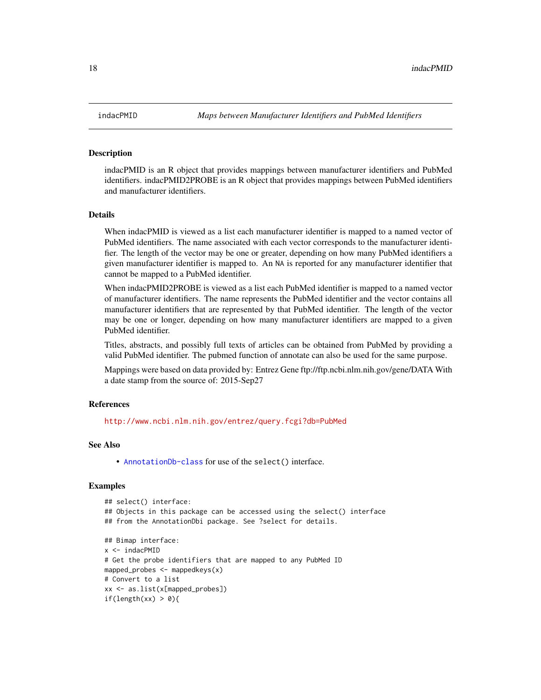#### Description

indacPMID is an R object that provides mappings between manufacturer identifiers and PubMed identifiers. indacPMID2PROBE is an R object that provides mappings between PubMed identifiers and manufacturer identifiers.

#### Details

When indacPMID is viewed as a list each manufacturer identifier is mapped to a named vector of PubMed identifiers. The name associated with each vector corresponds to the manufacturer identifier. The length of the vector may be one or greater, depending on how many PubMed identifiers a given manufacturer identifier is mapped to. An NA is reported for any manufacturer identifier that cannot be mapped to a PubMed identifier.

When indacPMID2PROBE is viewed as a list each PubMed identifier is mapped to a named vector of manufacturer identifiers. The name represents the PubMed identifier and the vector contains all manufacturer identifiers that are represented by that PubMed identifier. The length of the vector may be one or longer, depending on how many manufacturer identifiers are mapped to a given PubMed identifier.

Titles, abstracts, and possibly full texts of articles can be obtained from PubMed by providing a valid PubMed identifier. The pubmed function of annotate can also be used for the same purpose.

Mappings were based on data provided by: Entrez Gene ftp://ftp.ncbi.nlm.nih.gov/gene/DATA With a date stamp from the source of: 2015-Sep27

#### References

<http://www.ncbi.nlm.nih.gov/entrez/query.fcgi?db=PubMed>

#### See Also

• [AnnotationDb-class](#page-0-0) for use of the select() interface.

```
## select() interface:
## Objects in this package can be accessed using the select() interface
## from the AnnotationDbi package. See ?select for details.
## Bimap interface:
x <- indacPMID
# Get the probe identifiers that are mapped to any PubMed ID
mapped_probes <- mappedkeys(x)
# Convert to a list
xx <- as.list(x[mapped_probes])
if(length(xx) > 0){
```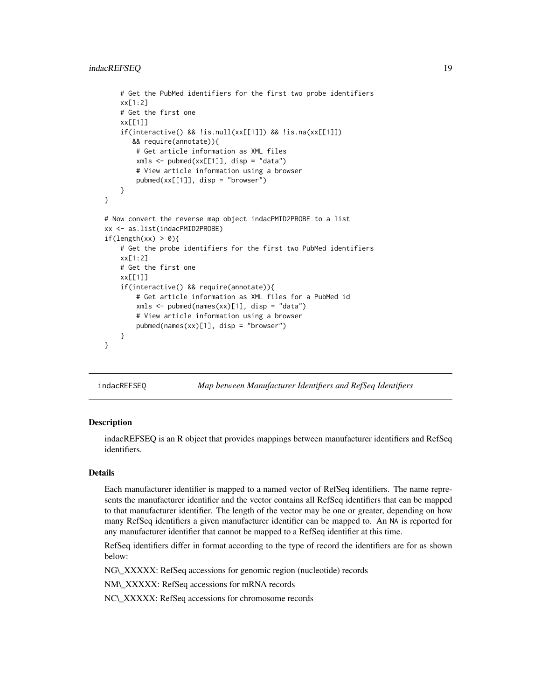```
# Get the PubMed identifiers for the first two probe identifiers
    xx[1:2]
    # Get the first one
   xx[[1]]
    if(interactive() && !is.null(xx[[1]]) && !is.na(xx[[1]])
      && require(annotate)){
       # Get article information as XML files
       xmls < -pubmed(xx[[1]], disp = "data")# View article information using a browser
       pubmed(xx[[1]], disp = "browser")
    }
}
# Now convert the reverse map object indacPMID2PROBE to a list
xx <- as.list(indacPMID2PROBE)
if(length(xx) > 0){
    # Get the probe identifiers for the first two PubMed identifiers
   xx[1:2]
   # Get the first one
   xx[[1]]
    if(interactive() && require(annotate)){
       # Get article information as XML files for a PubMed id
       xmls <- pubmed(names(xx)[1], disp = "data")
       # View article information using a browser
       pubmed(names(xx)[1], disp = "browser")
   }
}
```
indacREFSEQ *Map between Manufacturer Identifiers and RefSeq Identifiers*

#### Description

indacREFSEQ is an R object that provides mappings between manufacturer identifiers and RefSeq identifiers.

# Details

Each manufacturer identifier is mapped to a named vector of RefSeq identifiers. The name represents the manufacturer identifier and the vector contains all RefSeq identifiers that can be mapped to that manufacturer identifier. The length of the vector may be one or greater, depending on how many RefSeq identifiers a given manufacturer identifier can be mapped to. An NA is reported for any manufacturer identifier that cannot be mapped to a RefSeq identifier at this time.

RefSeq identifiers differ in format according to the type of record the identifiers are for as shown below:

NG\\_XXXXX: RefSeq accessions for genomic region (nucleotide) records

NM\\_XXXXX: RefSeq accessions for mRNA records

NC\\_XXXXX: RefSeq accessions for chromosome records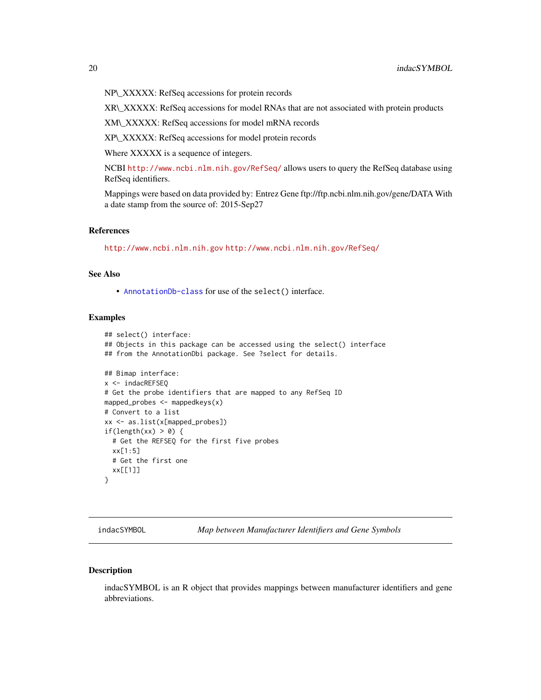<span id="page-19-0"></span>NP\\_XXXXX: RefSeq accessions for protein records

XR\\_XXXXX: RefSeq accessions for model RNAs that are not associated with protein products

XM\\_XXXXX: RefSeq accessions for model mRNA records

XP\\_XXXXX: RefSeq accessions for model protein records

Where XXXXX is a sequence of integers.

NCBI <http://www.ncbi.nlm.nih.gov/RefSeq/> allows users to query the RefSeq database using RefSeq identifiers.

Mappings were based on data provided by: Entrez Gene ftp://ftp.ncbi.nlm.nih.gov/gene/DATA With a date stamp from the source of: 2015-Sep27

#### References

<http://www.ncbi.nlm.nih.gov> <http://www.ncbi.nlm.nih.gov/RefSeq/>

# See Also

• [AnnotationDb-class](#page-0-0) for use of the select() interface.

#### Examples

```
## select() interface:
## Objects in this package can be accessed using the select() interface
## from the AnnotationDbi package. See ?select for details.
## Bimap interface:
x <- indacREFSEQ
# Get the probe identifiers that are mapped to any RefSeq ID
mapped_probes <- mappedkeys(x)
# Convert to a list
xx <- as.list(x[mapped_probes])
if(length(xx) > 0) {
  # Get the REFSEQ for the first five probes
  xx[1:5]
  # Get the first one
  xx[[1]]
}
```
indacSYMBOL *Map between Manufacturer Identifiers and Gene Symbols*

#### Description

indacSYMBOL is an R object that provides mappings between manufacturer identifiers and gene abbreviations.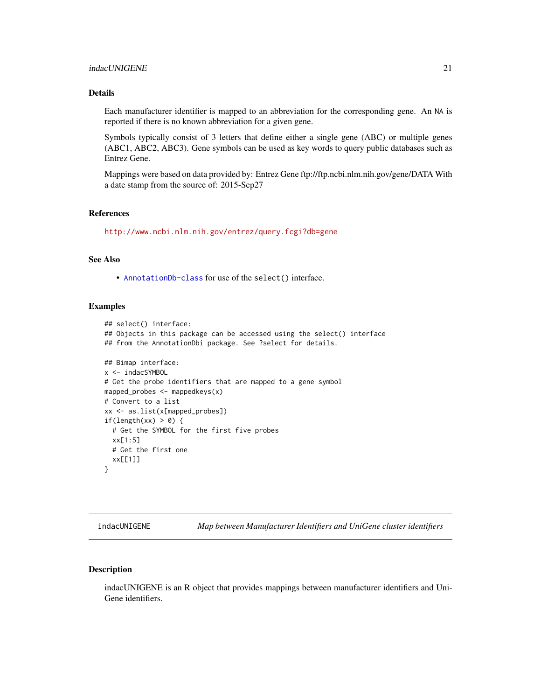### <span id="page-20-0"></span>Details

Each manufacturer identifier is mapped to an abbreviation for the corresponding gene. An NA is reported if there is no known abbreviation for a given gene.

Symbols typically consist of 3 letters that define either a single gene (ABC) or multiple genes (ABC1, ABC2, ABC3). Gene symbols can be used as key words to query public databases such as Entrez Gene.

Mappings were based on data provided by: Entrez Gene ftp://ftp.ncbi.nlm.nih.gov/gene/DATA With a date stamp from the source of: 2015-Sep27

# References

<http://www.ncbi.nlm.nih.gov/entrez/query.fcgi?db=gene>

# See Also

• [AnnotationDb-class](#page-0-0) for use of the select() interface.

# Examples

```
## select() interface:
## Objects in this package can be accessed using the select() interface
## from the AnnotationDbi package. See ?select for details.
## Bimap interface:
x <- indacSYMBOL
# Get the probe identifiers that are mapped to a gene symbol
mapped_probes <- mappedkeys(x)
# Convert to a list
xx <- as.list(x[mapped_probes])
if(length(xx) > 0) {
  # Get the SYMBOL for the first five probes
  xx[1:5]
  # Get the first one
  xx[[1]]
}
```
indacUNIGENE *Map between Manufacturer Identifiers and UniGene cluster identifiers*

# Description

indacUNIGENE is an R object that provides mappings between manufacturer identifiers and Uni-Gene identifiers.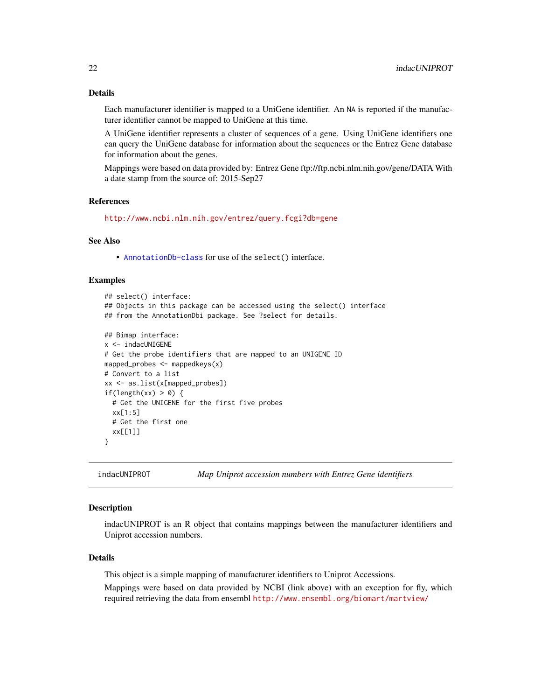# <span id="page-21-0"></span>Details

Each manufacturer identifier is mapped to a UniGene identifier. An NA is reported if the manufacturer identifier cannot be mapped to UniGene at this time.

A UniGene identifier represents a cluster of sequences of a gene. Using UniGene identifiers one can query the UniGene database for information about the sequences or the Entrez Gene database for information about the genes.

Mappings were based on data provided by: Entrez Gene ftp://ftp.ncbi.nlm.nih.gov/gene/DATA With a date stamp from the source of: 2015-Sep27

#### References

<http://www.ncbi.nlm.nih.gov/entrez/query.fcgi?db=gene>

#### See Also

• [AnnotationDb-class](#page-0-0) for use of the select() interface.

#### Examples

```
## select() interface:
## Objects in this package can be accessed using the select() interface
## from the AnnotationDbi package. See ?select for details.
## Bimap interface:
x <- indacUNIGENE
# Get the probe identifiers that are mapped to an UNIGENE ID
mapped_probes <- mappedkeys(x)
# Convert to a list
xx <- as.list(x[mapped_probes])
if(length(xx) > 0) {
  # Get the UNIGENE for the first five probes
  xx[1:5]
  # Get the first one
  xx[[1]]
}
```
indacUNIPROT *Map Uniprot accession numbers with Entrez Gene identifiers*

#### Description

indacUNIPROT is an R object that contains mappings between the manufacturer identifiers and Uniprot accession numbers.

#### Details

This object is a simple mapping of manufacturer identifiers to Uniprot Accessions.

Mappings were based on data provided by NCBI (link above) with an exception for fly, which required retrieving the data from ensembl <http://www.ensembl.org/biomart/martview/>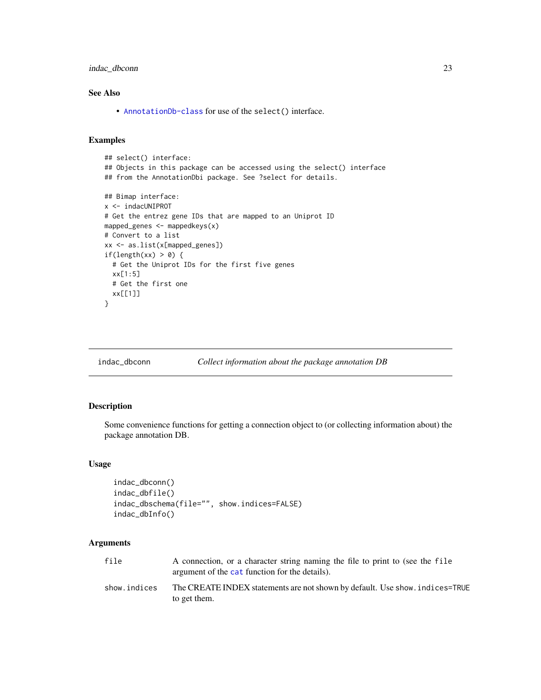<span id="page-22-0"></span>indac\_dbconn 23

# See Also

• [AnnotationDb-class](#page-0-0) for use of the select() interface.

# Examples

```
## select() interface:
## Objects in this package can be accessed using the select() interface
## from the AnnotationDbi package. See ?select for details.
## Bimap interface:
x <- indacUNIPROT
# Get the entrez gene IDs that are mapped to an Uniprot ID
mapped_genes <- mappedkeys(x)
# Convert to a list
xx <- as.list(x[mapped_genes])
if(length(xx) > 0) {
  # Get the Uniprot IDs for the first five genes
  xx[1:5]
  # Get the first one
  xx[[1]]
}
```
indac\_dbconn *Collect information about the package annotation DB*

#### Description

Some convenience functions for getting a connection object to (or collecting information about) the package annotation DB.

#### Usage

```
indac_dbconn()
indac_dbfile()
indac_dbschema(file="", show.indices=FALSE)
indac_dbInfo()
```
#### Arguments

| file         | A connection, or a character string naming the file to print to (see the file<br>argument of the cat function for the details). |
|--------------|---------------------------------------------------------------------------------------------------------------------------------|
| show.indices | The CREATE INDEX statements are not shown by default. Use show, indices=TRUE<br>to get them.                                    |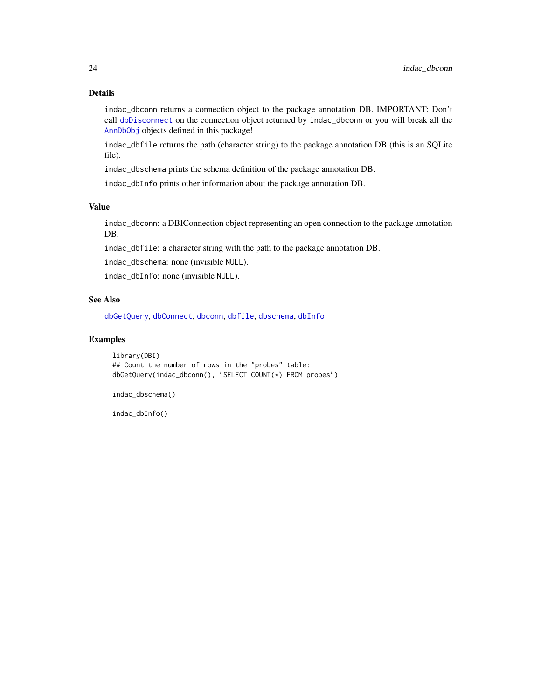# <span id="page-23-0"></span>Details

indac\_dbconn returns a connection object to the package annotation DB. IMPORTANT: Don't call [dbDisconnect](#page-0-0) on the connection object returned by indac\_dbconn or you will break all the [AnnDbObj](#page-0-0) objects defined in this package!

indac\_dbfile returns the path (character string) to the package annotation DB (this is an SQLite file).

indac\_dbschema prints the schema definition of the package annotation DB.

indac\_dbInfo prints other information about the package annotation DB.

#### Value

indac\_dbconn: a DBIConnection object representing an open connection to the package annotation DB.

indac\_dbfile: a character string with the path to the package annotation DB.

indac\_dbschema: none (invisible NULL).

indac\_dbInfo: none (invisible NULL).

#### See Also

[dbGetQuery](#page-0-0), [dbConnect](#page-0-0), [dbconn](#page-0-0), [dbfile](#page-0-0), [dbschema](#page-0-0), [dbInfo](#page-0-0)

# Examples

library(DBI) ## Count the number of rows in the "probes" table: dbGetQuery(indac\_dbconn(), "SELECT COUNT(\*) FROM probes")

indac\_dbschema()

indac\_dbInfo()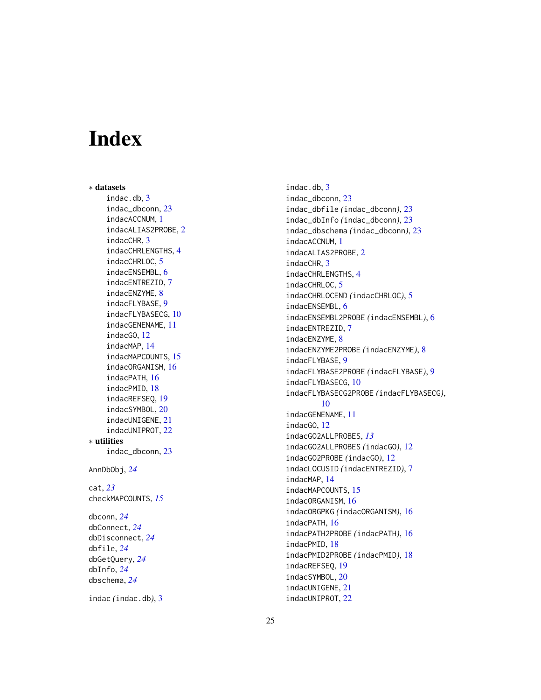# Index

∗ datasets indac.db , [3](#page-2-0) indac\_dbconn , [23](#page-22-0) indacACCNUM , [1](#page-0-1) indacALIAS2PROBE , [2](#page-1-0) indacCHR , [3](#page-2-0) indacCHRLENGTHS , [4](#page-3-0) indacCHRLOC, [5](#page-4-0) indacENSEMBL , [6](#page-5-0) indacENTREZID , [7](#page-6-0) indacENZYME, [8](#page-7-0) indacFLYBASE , [9](#page-8-0) indacFLYBASECG , [10](#page-9-0) indacGENENAME , [11](#page-10-0) indacGO , [12](#page-11-1) indacMAP , [14](#page-13-0) indacMAPCOUNTS , [15](#page-14-0) indacORGANISM , [16](#page-15-0) indacPATH , [16](#page-15-0) indacPMID , [18](#page-17-0) indacREFSEQ , [19](#page-18-0) indacSYMBOL , [20](#page-19-0) indacUNIGENE , [21](#page-20-0) indacUNIPROT , [22](#page-21-0) ∗ utilities indac\_dbconn , [23](#page-22-0) AnnDbObj , *[24](#page-23-0)* cat , *[23](#page-22-0)* checkMAPCOUNTS , *[15](#page-14-0)* dbconn , *[24](#page-23-0)* dbConnect , *[24](#page-23-0)* dbDisconnect , *[24](#page-23-0)* dbfile , *[24](#page-23-0)* dbGetQuery , *[24](#page-23-0)* dbInfo , *[24](#page-23-0)* dbschema , *[24](#page-23-0)*

indac *(*indac.db *)* , [3](#page-2-0)

indac.db , [3](#page-2-0) indac\_dbconn , [23](#page-22-0) indac\_dbfile *(*indac\_dbconn *)* , [23](#page-22-0) indac\_dbInfo *(*indac\_dbconn *)* , [23](#page-22-0) indac\_dbschema *(*indac\_dbconn *)* , [23](#page-22-0) indacACCNUM , [1](#page-0-1) indacALIAS2PROBE , [2](#page-1-0) indacCHR , [3](#page-2-0) indacCHRLENGTHS , [4](#page-3-0) indacCHRLOC, [5](#page-4-0) indacCHRLOCEND *(*indacCHRLOC *)* , [5](#page-4-0) indacENSEMBL, [6](#page-5-0) indacENSEMBL2PROBE *(*indacENSEMBL *)* , [6](#page-5-0) indacENTREZID , [7](#page-6-0) indacENZYME, [8](#page-7-0) indacENZYME2PROBE *(*indacENZYME *)* , [8](#page-7-0) indacFLYBASE , [9](#page-8-0) indacFLYBASE2PROBE *(*indacFLYBASE *)* , [9](#page-8-0) indacFLYBASECG , [10](#page-9-0) indacFLYBASECG2PROBE *(*indacFLYBASECG *)* , [10](#page-9-0) indacGENENAME , [11](#page-10-0) indacGO , [12](#page-11-1) indacGO2ALLPROBES , *[13](#page-12-0)* indacGO2ALLPROBES *(*indacGO *)* , [12](#page-11-1) indacGO2PROBE *(*indacGO *)* , [12](#page-11-1) indacLOCUSID *(*indacENTREZID *)* , [7](#page-6-0) indacMAP , [14](#page-13-0) indacMAPCOUNTS , [15](#page-14-0) indacORGANISM , [16](#page-15-0) indacORGPKG *(*indacORGANISM *)* , [16](#page-15-0) indacPATH , [16](#page-15-0) indacPATH2PROBE *(*indacPATH *)* , [16](#page-15-0) indacPMID , [18](#page-17-0) indacPMID2PROBE *(*indacPMID *)* , [18](#page-17-0) indacREFSEQ , [19](#page-18-0) indacSYMBOL , [20](#page-19-0) indacUNIGENE , [21](#page-20-0) indacUNIPROT , [22](#page-21-0)